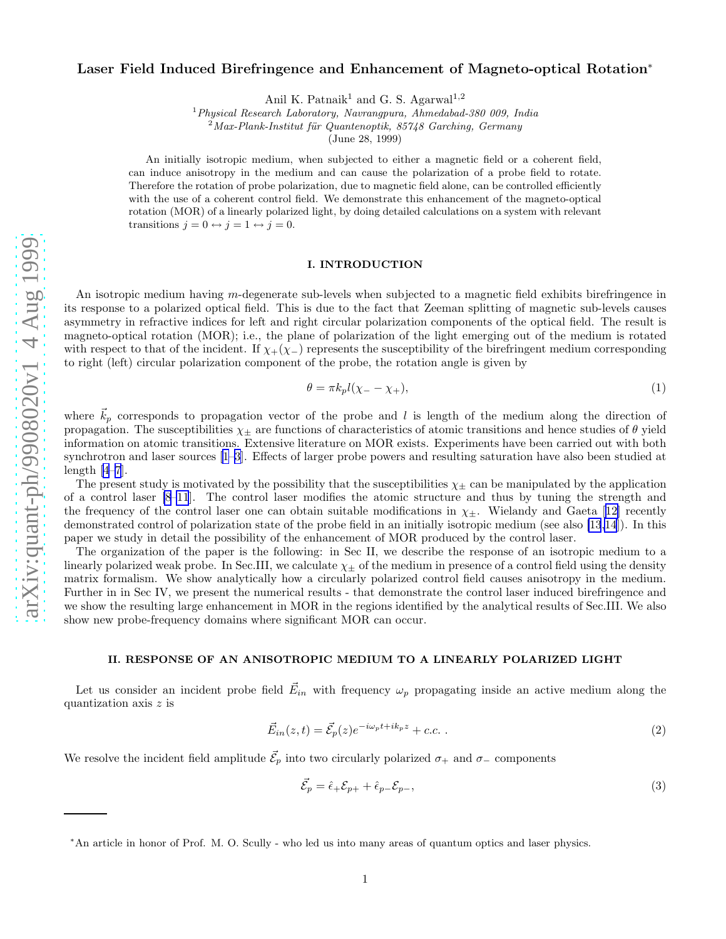# Laser Field Induced Birefringence and Enhancement of Magneto-optical Rotation<sup>\*</sup>

Anil K. Patnaik<sup>1</sup> and G. S. Agarwal<sup>1,2</sup>

 $1$ Physical Research Laboratory, Navrangpura, Ahmedabad-380 009, India

 $^{2}$ Max-Plank-Institut für Quantenoptik, 85748 Garching, Germany

(June 28, 1999)

An initially isotropic medium, when subjected to either a magnetic field or a coherent field, can induce anisotropy in the medium and can cause the polarization of a probe field to rotate. Therefore the rotation of probe polarization, due to magnetic field alone, can be controlled efficiently with the use of a coherent control field. We demonstrate this enhancement of the magneto-optical rotation (MOR) of a linearly polarized light, by doing detailed calculations on a system with relevant transitions  $j = 0 \leftrightarrow j = 1 \leftrightarrow j = 0$ .

#### I. INTRODUCTION

An isotropic medium having m-degenerate sub-levels when subjected to a magnetic field exhibits birefringence in its response to a polarized optical field. This is due to the fact that Zeeman splitting of magnetic sub-levels causes asymmetry in refractive indices for left and right circular polarization components of the optical field. The result is magneto-optical rotation (MOR); i.e., the plane of polarization of the light emerging out of the medium is rotated with respect to that of the incident. If  $\chi_+(\chi_-)$  represents the susceptibility of the birefringent medium corresponding to right (left) circular polarization component of the probe, the rotation angle is given by

$$
\theta = \pi k_p l(\chi - \chi +),\tag{1}
$$

where  $\vec{k}_p$  corresponds to propagation vector of the probe and l is length of the medium along the direction of propagation. The susceptibilities  $\chi_{\pm}$  are functions of characteristics of atomic transitions and hence studies of  $\theta$  yield information on atomic transitions. Extensive literature on MOR exists. Experiments have been carried out with both synchrotron and laser sources [\[1–3](#page-4-0)]. Effects of larger probe powers and resulting saturation have also been studied at length  $[4-7]$ .

The present study is motivated by the possibility that the susceptibilities  $\chi_{\pm}$  can be manipulated by the application of a control laser [\[8–11](#page-4-0)]. The control laser modifies the atomic structure and thus by tuning the strength and thefrequency of the control laser one can obtain suitable modifications in  $\chi_{\pm}$ . Wielandy and Gaeta [[12\]](#page-4-0) recently demonstrated control of polarization state of the probe field in an initially isotropic medium (see also [\[13,14](#page-5-0)]). In thi s paper we study in detail the possibility of the enhancement of MOR produced by the control laser.

The organization of the paper is the following: in Sec II, we describe the response of an isotropic medium to a linearly polarized weak probe. In Sec.III, we calculate  $\chi_{\pm}$  of the medium in presence of a control field using the density matrix formalism. We show analytically how a circularly polarized control field causes anisotropy in the medium. Further in in Sec IV, we present the numerical results - that demonstrate the control laser induced birefringence and we show the resulting large enhancement in MOR in the regions identified by the analytical results of Sec.III. We also show new probe-frequency domains where significant MOR can occur.

### II. RESPONSE OF AN ANISOTROPIC MEDIUM TO A LINEARLY POLARIZED LIGHT

Let us consider an incident probe field  $\vec{E}_{in}$  with frequency  $\omega_p$  propagating inside an active medium along the quantization axis z is

$$
\vec{E}_{in}(z,t) = \vec{\mathcal{E}_p}(z)e^{-i\omega_p t + ik_p z} + c.c.
$$
 (2)

We resolve the incident field amplitude  $\vec{\mathcal{E}}_p$  into two circularly polarized  $\sigma_+$  and  $\sigma_-$  components

$$
\vec{\mathcal{E}}_p = \hat{\epsilon}_+ \mathcal{E}_{p+} + \hat{\epsilon}_p \mathcal{E}_{p-},\tag{3}
$$

<sup>∗</sup>An article in honor of Prof. M. O. Scully - who led us into many areas of quantum optics and laser physics.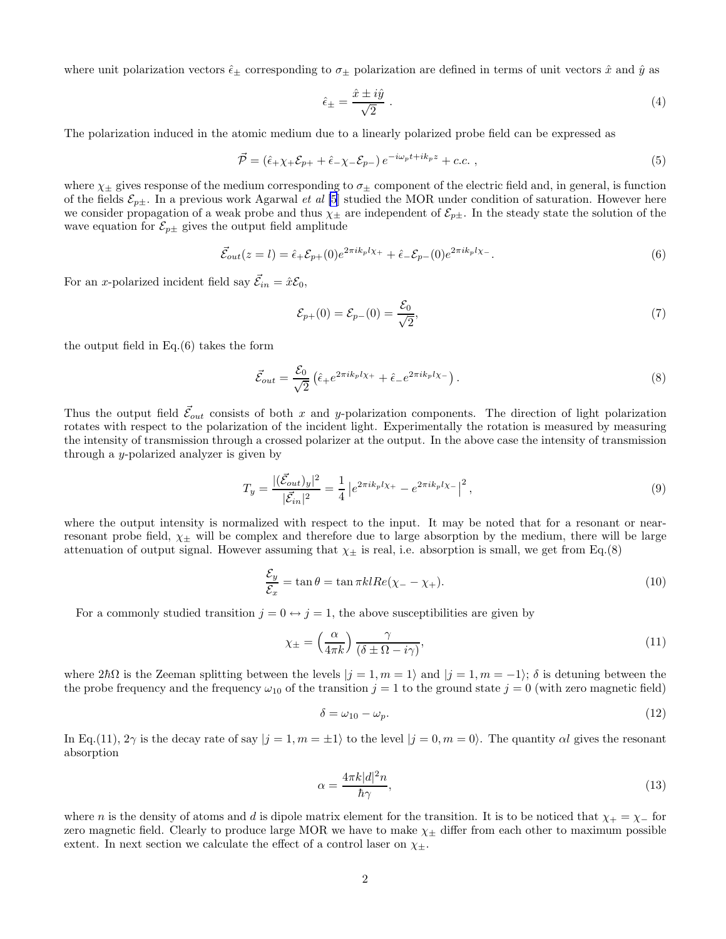where unit polarization vectors  $\hat{\epsilon}_{\pm}$  corresponding to  $\sigma_{\pm}$  polarization are defined in terms of unit vectors  $\hat{x}$  and  $\hat{y}$  as

$$
\hat{\epsilon}_{\pm} = \frac{\hat{x} \pm i\hat{y}}{\sqrt{2}} \ . \tag{4}
$$

The polarization induced in the atomic medium due to a linearly polarized probe field can be expressed as

$$
\vec{\mathcal{P}} = (\hat{\epsilon}_+ \chi_+ \mathcal{E}_{p+} + \hat{\epsilon}_- \chi_- \mathcal{E}_{p-}) e^{-i\omega_p t + ik_p z} + c.c. ,
$$
\n
$$
(5)
$$

where  $\chi_{\pm}$  gives response of the medium corresponding to  $\sigma_{\pm}$  component of the electric field and, in general, is function of the fields  $\mathcal{E}_{p\pm}$ . In a previous work Agarwal *et al* [\[5](#page-4-0)] studied the MOR under condition of saturation. However here we consider propagation of a weak probe and thus  $\chi_{\pm}$  are independent of  $\mathcal{E}_{p\pm}$ . In the steady state the solution of the wave equation for  $\mathcal{E}_{p\pm}$  gives the output field amplitude

$$
\vec{\mathcal{E}}_{out}(z=l) = \hat{\epsilon}_{+} \mathcal{E}_{p+}(0) e^{2\pi i k_{p} l_{\chi_{+}}} + \hat{\epsilon}_{-} \mathcal{E}_{p-}(0) e^{2\pi i k_{p} l_{\chi_{-}}}.
$$
\n(6)

For an x-polarized incident field say  $\vec{\mathcal{E}}_{in} = \hat{x}\mathcal{E}_0$ ,

$$
\mathcal{E}_{p+}(0) = \mathcal{E}_{p-}(0) = \frac{\mathcal{E}_0}{\sqrt{2}},\tag{7}
$$

the output field in Eq.(6) takes the form

$$
\vec{\mathcal{E}}_{out} = \frac{\mathcal{E}_0}{\sqrt{2}} \left( \hat{\epsilon}_+ e^{2\pi i k_p l \chi_+} + \hat{\epsilon}_- e^{2\pi i k_p l \chi_-} \right). \tag{8}
$$

Thus the output field  $\vec{\mathcal{E}}_{out}$  consists of both x and y-polarization components. The direction of light polarization rotates with respect to the polarization of the incident light. Experimentally the rotation is measured by measuring the intensity of transmission through a crossed polarizer at the output. In the above case the intensity of transmission through a y-polarized analyzer is given by

$$
T_y = \frac{|(\vec{\mathcal{E}}_{out})_y|^2}{|\vec{\mathcal{E}}_{in}|^2} = \frac{1}{4} \left| e^{2\pi i k_p l \chi_+} - e^{2\pi i k_p l \chi_-} \right|^2, \tag{9}
$$

where the output intensity is normalized with respect to the input. It may be noted that for a resonant or nearresonant probe field,  $\chi_{\pm}$  will be complex and therefore due to large absorption by the medium, there will be large attenuation of output signal. However assuming that  $\chi_{\pm}$  is real, i.e. absorption is small, we get from Eq.(8)

$$
\frac{\mathcal{E}_y}{\mathcal{E}_x} = \tan \theta = \tan \pi k l Re(\chi - \chi +).
$$
\n(10)

For a commonly studied transition  $j = 0 \leftrightarrow j = 1$ , the above susceptibilities are given by

$$
\chi_{\pm} = \left(\frac{\alpha}{4\pi k}\right) \frac{\gamma}{(\delta \pm \Omega - i\gamma)},\tag{11}
$$

where  $2\hbar\Omega$  is the Zeeman splitting between the levels  $|j = 1, m = 1\rangle$  and  $|j = 1, m = -1\rangle$ ;  $\delta$  is detuning between the the probe frequency and the frequency  $\omega_{10}$  of the transition  $j = 1$  to the ground state  $j = 0$  (with zero magnetic field)

$$
\delta = \omega_{10} - \omega_p. \tag{12}
$$

In Eq.(11), 2 $\gamma$  is the decay rate of say  $|j = 1, m = \pm 1\rangle$  to the level  $|j = 0, m = 0\rangle$ . The quantity  $\alpha l$  gives the resonant absorption

$$
\alpha = \frac{4\pi k |d|^2 n}{\hbar \gamma},\tag{13}
$$

where n is the density of atoms and d is dipole matrix element for the transition. It is to be noticed that  $\chi_+ = \chi_-$  for zero magnetic field. Clearly to produce large MOR we have to make  $\chi_{\pm}$  differ from each other to maximum possible extent. In next section we calculate the effect of a control laser on  $\chi_{\pm}$ .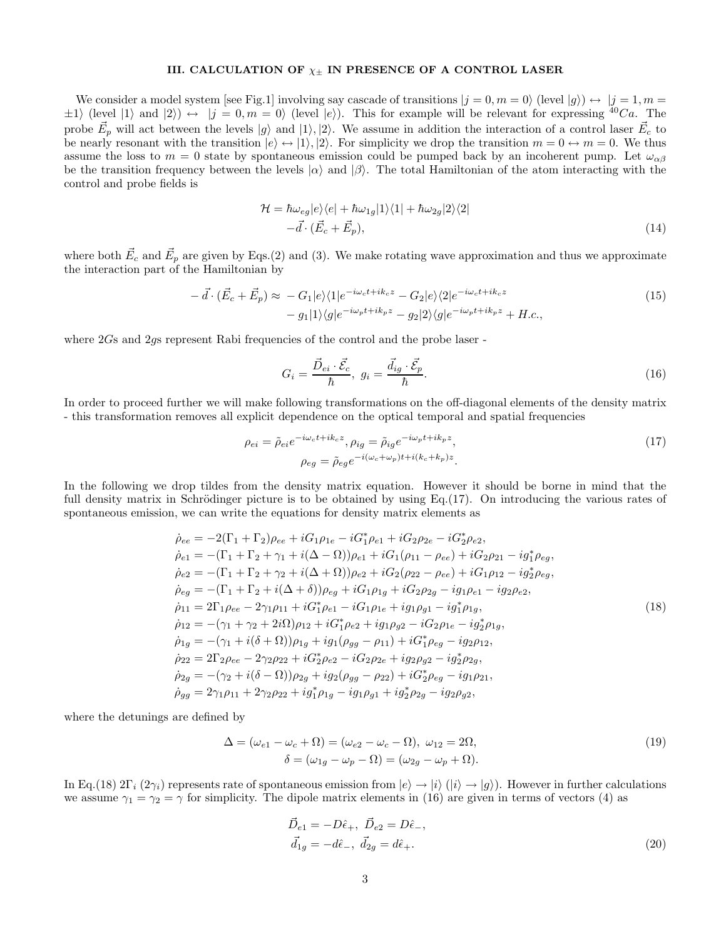# III. CALCULATION OF  $\chi_{\pm}$  IN PRESENCE OF A CONTROL LASER

We consider a model system [see Fig.1] involving say cascade of transitions  $|j = 0, m = 0\rangle$  (level  $|g\rangle \mapsto |j = 1, m = 1\rangle$  $\pm 1$  (level  $|1\rangle$  and  $|2\rangle$ )  $\leftrightarrow$   $|j=0, m=0$  (level  $|e\rangle$ ). This for example will be relevant for expressing  $^{40}Ca$ . The probe  $\vec{E}_p$  will act between the levels  $|g\rangle$  and  $|1\rangle, |2\rangle$ . We assume in addition the interaction of a control laser  $\vec{E}_c$  to be nearly resonant with the transition  $|e\rangle \leftrightarrow |1\rangle, |2\rangle$ . For simplicity we drop the transition  $m = 0 \leftrightarrow m = 0$ . We thus assume the loss to  $m = 0$  state by spontaneous emission could be pumped back by an incoherent pump. Let  $\omega_{\alpha\beta}$ be the transition frequency between the levels  $|\alpha\rangle$  and  $|\beta\rangle$ . The total Hamiltonian of the atom interacting with the control and probe fields is

$$
\mathcal{H} = \hbar\omega_{eg}|e\rangle\langle e| + \hbar\omega_{1g}|1\rangle\langle 1| + \hbar\omega_{2g}|2\rangle\langle 2|
$$
  

$$
-\vec{d}\cdot(\vec{E}_c + \vec{E}_p),
$$
 (14)

where both  $\vec{E_c}$  and  $\vec{E_p}$  are given by Eqs.(2) and (3). We make rotating wave approximation and thus we approximate the interaction part of the Hamiltonian by

$$
-\vec{d} \cdot (\vec{E}_c + \vec{E}_p) \approx -G_1|e\rangle\langle 1|e^{-i\omega_c t + ik_c z} - G_2|e\rangle\langle 2|e^{-i\omega_c t + ik_c z} -g_1|1\rangle\langle g|e^{-i\omega_p t + ik_p z} - g_2|2\rangle\langle g|e^{-i\omega_p t + ik_p z} + H.c.,
$$
\n
$$
(15)
$$

where 2Gs and 2gs represent Rabi frequencies of the control and the probe laser -

$$
G_i = \frac{\vec{D}_{ei} \cdot \vec{\mathcal{E}}_c}{\hbar}, \ g_i = \frac{\vec{d}_{ig} \cdot \vec{\mathcal{E}}_p}{\hbar}.
$$
\n(16)

In order to proceed further we will make following transformations on the off-diagonal elements of the density matrix - this transformation removes all explicit dependence on the optical temporal and spatial frequencies

$$
\rho_{ei} = \tilde{\rho}_{ei} e^{-i\omega_c t + ik_c z}, \rho_{ig} = \tilde{\rho}_{ig} e^{-i\omega_p t + ik_p z},
$$
  
\n
$$
\rho_{eg} = \tilde{\rho}_{eg} e^{-i(\omega_c + \omega_p)t + i(k_c + k_p)z}.
$$
\n(17)

In the following we drop tildes from the density matrix equation. However it should be borne in mind that the full density matrix in Schrödinger picture is to be obtained by using  $Eq.(17)$ . On introducing the various rates of spontaneous emission, we can write the equations for density matrix elements as

$$
\begin{aligned}\n\dot{\rho}_{ee} &= -2(\Gamma_1 + \Gamma_2)\rho_{ee} + iG_1\rho_{1e} - iG_1^*\rho_{e1} + iG_2\rho_{2e} - iG_2^*\rho_{e2}, \\
\dot{\rho}_{e1} &= -(\Gamma_1 + \Gamma_2 + \gamma_1 + i(\Delta - \Omega))\rho_{e1} + iG_1(\rho_{11} - \rho_{ee}) + iG_2\rho_{21} - ig_1^*\rho_{eg}, \\
\dot{\rho}_{e2} &= -(\Gamma_1 + \Gamma_2 + \gamma_2 + i(\Delta + \Omega))\rho_{e2} + iG_2(\rho_{22} - \rho_{ee}) + iG_1\rho_{12} - ig_2^*\rho_{eg}, \\
\dot{\rho}_{eg} &= -(\Gamma_1 + \Gamma_2 + i(\Delta + \delta))\rho_{eg} + iG_1\rho_{1g} + iG_2\rho_{2g} - ig_1\rho_{e1} - ig_2\rho_{e2}, \\
\dot{\rho}_{11} &= 2\Gamma_1\rho_{ee} - 2\gamma_1\rho_{11} + iG_1^*\rho_{e1} - iG_1\rho_{1e} + ig_1\rho_{g1} - ig_1^*\rho_{1g}, \\
\dot{\rho}_{12} &= -(\gamma_1 + \gamma_2 + 2i\Omega)\rho_{12} + iG_1^*\rho_{e2} + ig_1\rho_{g2} - iG_2\rho_{1e} - ig_2^*\rho_{1g}, \\
\dot{\rho}_{1g} &= -(\gamma_1 + i(\delta + \Omega))\rho_{1g} + ig_1(\rho_{gg} - \rho_{11}) + iG_1^*\rho_{eg} - ig_2\rho_{12}, \\
\dot{\rho}_{22} &= 2\Gamma_2\rho_{ee} - 2\gamma_2\rho_{22} + iG_2^*\rho_{e2} - iG_2\rho_{2e} + ig_2\rho_{g2} - ig_2^*\rho_{2g}, \\
\dot{\rho}_{2g} &= -(\gamma_2 + i(\delta - \Omega))\rho_{2g} + ig_2(\rho_{gg} - \rho_{22}) + iG_2^*\rho_{eg} - ig_1\rho_{21}, \\
\dot{\rho}_{gg} &= 2\gamma_1\rho_{11} + 2\gamma_2\rho_{22} + ig_1^*\rho_{1g} - ig_1\rho_{g1} + ig_2^*\rho_{2g} - ig_2\rho_{g2},\n\end{aligned}
$$
\n(18)

where the detunings are defined by

$$
\Delta = (\omega_{e1} - \omega_c + \Omega) = (\omega_{e2} - \omega_c - \Omega), \ \omega_{12} = 2\Omega,
$$
  
\n
$$
\delta = (\omega_{1g} - \omega_p - \Omega) = (\omega_{2g} - \omega_p + \Omega).
$$
\n(19)

In Eq.(18)  $2\Gamma_i$  (2 $\gamma_i$ ) represents rate of spontaneous emission from  $|e\rangle \rightarrow |i\rangle$  ( $|i\rangle \rightarrow |q\rangle$ ). However in further calculations we assume  $\gamma_1 = \gamma_2 = \gamma$  for simplicity. The dipole matrix elements in (16) are given in terms of vectors (4) as

$$
\vec{D}_{e1} = -D\hat{\epsilon}_{+}, \ \vec{D}_{e2} = D\hat{\epsilon}_{-}, \n\vec{d}_{1g} = -d\hat{\epsilon}_{-}, \ \vec{d}_{2g} = d\hat{\epsilon}_{+}.
$$
\n(20)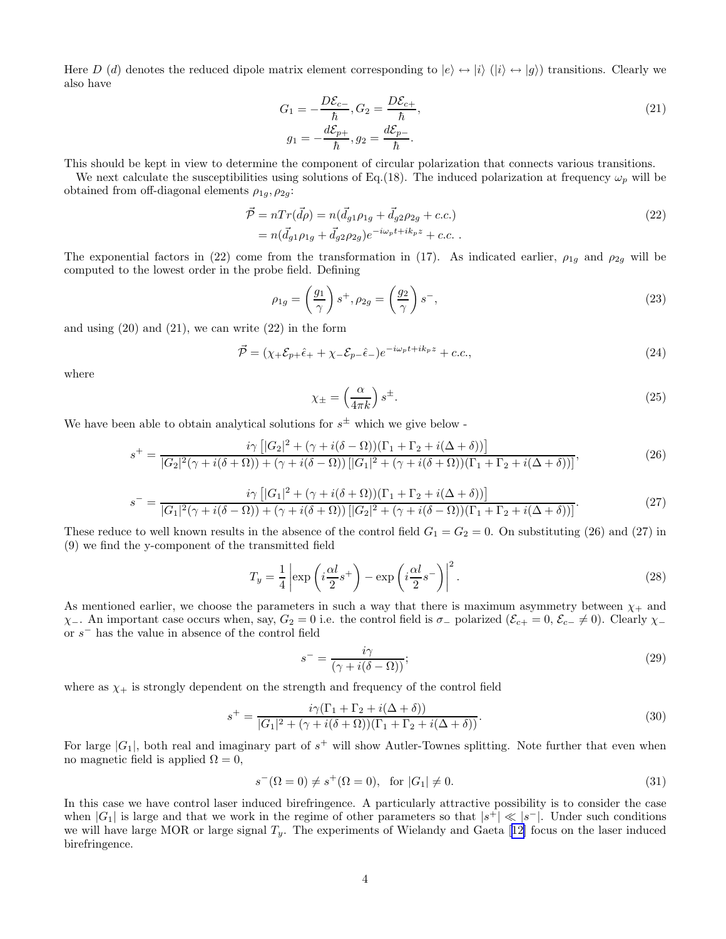Here D (d) denotes the reduced dipole matrix element corresponding to  $|e\rangle \leftrightarrow |i\rangle$  ( $|i\rangle \leftrightarrow |g\rangle$ ) transitions. Clearly we also have

$$
G_1 = -\frac{D\mathcal{E}_{c-}}{\hbar}, G_2 = \frac{D\mathcal{E}_{c+}}{\hbar},
$$
  
\n
$$
g_1 = -\frac{d\mathcal{E}_{p+}}{\hbar}, g_2 = \frac{d\mathcal{E}_{p-}}{\hbar}.
$$
\n(21)

This should be kept in view to determine the component of circular polarization that connects various transitions.

We next calculate the susceptibilities using solutions of Eq.(18). The induced polarization at frequency  $\omega_p$  will be obtained from off-diagonal elements  $\rho_{1g}, \rho_{2g}$ :

$$
\vec{\mathcal{P}} = nTr(\vec{d\rho}) = n(\vec{d}_{g1}\rho_{1g} + \vec{d}_{g2}\rho_{2g} + c.c.)
$$
\n
$$
= n(\vec{d}_{g1}\rho_{1g} + \vec{d}_{g2}\rho_{2g})e^{-i\omega_p t + ik_p z} + c.c.
$$
\n(22)

The exponential factors in (22) come from the transformation in (17). As indicated earlier,  $\rho_{1g}$  and  $\rho_{2g}$  will be computed to the lowest order in the probe field. Defining

$$
\rho_{1g} = \left(\frac{g_1}{\gamma}\right)s^+, \rho_{2g} = \left(\frac{g_2}{\gamma}\right)s^-, \tag{23}
$$

and using  $(20)$  and  $(21)$ , we can write  $(22)$  in the form

$$
\vec{\mathcal{P}} = (\chi_+ \mathcal{E}_{p+} \hat{\epsilon}_+ + \chi_- \mathcal{E}_{p-} \hat{\epsilon}_-) e^{-i\omega_p t + i k_p z} + c.c.,\tag{24}
$$

where

$$
\chi_{\pm} = \left(\frac{\alpha}{4\pi k}\right)s^{\pm}.\tag{25}
$$

We have been able to obtain analytical solutions for  $s^{\pm}$  which we give below -

$$
s^{+} = \frac{i\gamma \left[ |G_2|^2 + (\gamma + i(\delta - \Omega))(\Gamma_1 + \Gamma_2 + i(\Delta + \delta)) \right]}{|G_2|^2(\gamma + i(\delta + \Omega)) + (\gamma + i(\delta - \Omega))\left[ |G_1|^2 + (\gamma + i(\delta + \Omega))(\Gamma_1 + \Gamma_2 + i(\Delta + \delta)) \right]},
$$
\n(26)

$$
s^{-} = \frac{i\gamma \left[|G_1|^2 + (\gamma + i(\delta + \Omega))(\Gamma_1 + \Gamma_2 + i(\Delta + \delta))\right]}{|G_1|^2(\gamma + i(\delta - \Omega)) + (\gamma + i(\delta + \Omega))\left[|G_2|^2 + (\gamma + i(\delta - \Omega))(\Gamma_1 + \Gamma_2 + i(\Delta + \delta))\right]}.
$$
\n(27)

These reduce to well known results in the absence of the control field  $G_1 = G_2 = 0$ . On substituting (26) and (27) in (9) we find the y-component of the transmitted field

$$
T_y = \frac{1}{4} \left| \exp\left(i\frac{\alpha l}{2}s^+\right) - \exp\left(i\frac{\alpha l}{2}s^-\right) \right|^2.
$$
 (28)

As mentioned earlier, we choose the parameters in such a way that there is maximum asymmetry between  $\chi_{+}$  and  $\chi$ <sub>−</sub>. An important case occurs when, say,  $G_2 = 0$  i.e. the control field is  $\sigma$ <sub>−</sub> polarized ( $\mathcal{E}_{c+} = 0$ ,  $\mathcal{E}_{c-} \neq 0$ ). Clearly  $\chi$ <sub>−</sub> or  $s^-$  has the value in absence of the control field

$$
s^- = \frac{i\gamma}{(\gamma + i(\delta - \Omega))};\tag{29}
$$

where as  $\chi_{+}$  is strongly dependent on the strength and frequency of the control field

$$
s^{+} = \frac{i\gamma(\Gamma_1 + \Gamma_2 + i(\Delta + \delta))}{|G_1|^2 + (\gamma + i(\delta + \Omega))(\Gamma_1 + \Gamma_2 + i(\Delta + \delta))}.
$$
\n(30)

For large  $|G_1|$ , both real and imaginary part of  $s^+$  will show Autler-Townes splitting. Note further that even when no magnetic field is applied  $\Omega = 0$ ,

$$
s^{-}(\Omega = 0) \neq s^{+}(\Omega = 0), \text{ for } |G_{1}| \neq 0.
$$
\n(31)

In this case we have control laser induced birefringence. A particularly attractive possibility is to consider the case when  $|G_1|$  is large and that we work in the regime of other parameters so that  $|s^{\dagger}| \ll |s^{\dagger}|$ . Under such conditions wewill have large MOR or large signal  $T_y$ . The experiments of Wielandy and Gaeta [[12\]](#page-4-0) focus on the laser induced birefringence.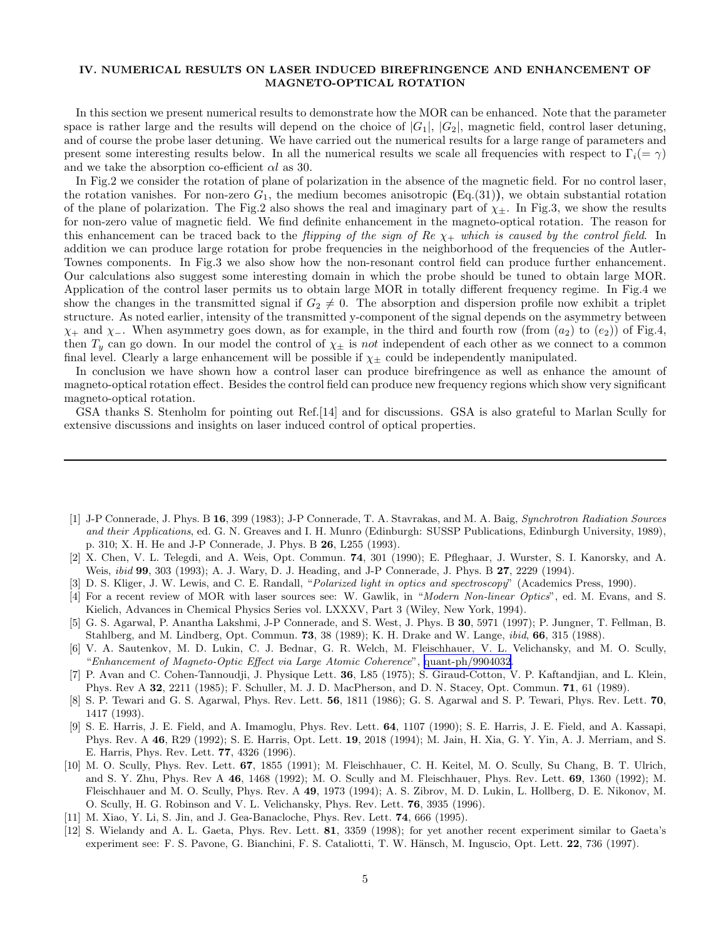# <span id="page-4-0"></span>IV. NUMERICAL RESULTS ON LASER INDUCED BIREFRINGENCE AND ENHANCEMENT OF MAGNETO-OPTICAL ROTATION

In this section we present numerical results to demonstrate how the MOR can be enhanced. Note that the parameter space is rather large and the results will depend on the choice of  $|G_1|, |G_2|$ , magnetic field, control laser detuning, and of course the probe laser detuning. We have carried out the numerical results for a large range of parameters and present some interesting results below. In all the numerical results we scale all frequencies with respect to  $\Gamma_i(=\gamma)$ and we take the absorption co-efficient  $\alpha l$  as 30.

In Fig.2 we consider the rotation of plane of polarization in the absence of the magnetic field. For no control laser, the rotation vanishes. For non-zero  $G_1$ , the medium becomes anisotropic (Eq.(31)), we obtain substantial rotation of the plane of polarization. The Fig.2 also shows the real and imaginary part of  $\chi_{\pm}$ . In Fig.3, we show the results for non-zero value of magnetic field. We find definite enhancement in the magneto-optical rotation. The reason for this enhancement can be traced back to the flipping of the sign of Re  $\chi_{+}$  which is caused by the control field. In addition we can produce large rotation for probe frequencies in the neighborhood of the frequencies of the Autler-Townes components. In Fig.3 we also show how the non-resonant control field can produce further enhancement. Our calculations also suggest some interesting domain in which the probe should be tuned to obtain large MOR. Application of the control laser permits us to obtain large MOR in totally different frequency regime. In Fig.4 we show the changes in the transmitted signal if  $G_2 \neq 0$ . The absorption and dispersion profile now exhibit a triplet structure. As noted earlier, intensity of the transmitted y-component of the signal depends on the asymmetry between  $\chi$ <sup>+</sup> and  $\chi$ <sup>−</sup>. When asymmetry goes down, as for example, in the third and fourth row (from  $(a_2)$  to  $(e_2)$ ) of Fig.4, then  $T_y$  can go down. In our model the control of  $\chi_{\pm}$  is not independent of each other as we connect to a common final level. Clearly a large enhancement will be possible if  $\chi_{\pm}$  could be independently manipulated.

In conclusion we have shown how a control laser can produce birefringence as well as enhance the amount of magneto-optical rotation effect. Besides the control field can produce new frequency regions which show very significant magneto-optical rotation.

GSA thanks S. Stenholm for pointing out Ref.[14] and for discussions. GSA is also grateful to Marlan Scully for extensive discussions and insights on laser induced control of optical properties.

- [1] J-P Connerade, J. Phys. B 16, 399 (1983); J-P Connerade, T. A. Stavrakas, and M. A. Baig, Synchrotron Radiation Sources and their Applications, ed. G. N. Greaves and I. H. Munro (Edinburgh: SUSSP Publications, Edinburgh University, 1989), p. 310; X. H. He and J-P Connerade, J. Phys. B 26, L255 (1993).
- [2] X. Chen, V. L. Telegdi, and A. Weis, Opt. Commun. 74, 301 (1990); E. Pfleghaar, J. Wurster, S. I. Kanorsky, and A. Weis, ibid 99, 303 (1993); A. J. Wary, D. J. Heading, and J-P Connerade, J. Phys. B 27, 2229 (1994).
- [3] D. S. Kliger, J. W. Lewis, and C. E. Randall, "Polarized light in optics and spectroscopy" (Academics Press, 1990).
- [4] For a recent review of MOR with laser sources see: W. Gawlik, in "Modern Non-linear Optics", ed. M. Evans, and S. Kielich, Advances in Chemical Physics Series vol. LXXXV, Part 3 (Wiley, New York, 1994).
- [5] G. S. Agarwal, P. Anantha Lakshmi, J-P Connerade, and S. West, J. Phys. B 30, 5971 (1997); P. Jungner, T. Fellman, B. Stahlberg, and M. Lindberg, Opt. Commun. 73, 38 (1989); K. H. Drake and W. Lange, ibid, 66, 315 (1988).
- [6] V. A. Sautenkov, M. D. Lukin, C. J. Bednar, G. R. Welch, M. Fleischhauer, V. L. Velichansky, and M. O. Scully, "Enhancement of Magneto-Optic Effect via Large Atomic Coherence", [quant-ph/9904032.](http://arXiv.org/abs/quant-ph/9904032)
- [7] P. Avan and C. Cohen-Tannoudji, J. Physique Lett. 36, L85 (1975); S. Giraud-Cotton, V. P. Kaftandjian, and L. Klein, Phys. Rev A 32, 2211 (1985); F. Schuller, M. J. D. MacPherson, and D. N. Stacey, Opt. Commun. 71, 61 (1989).
- [8] S. P. Tewari and G. S. Agarwal, Phys. Rev. Lett. 56, 1811 (1986); G. S. Agarwal and S. P. Tewari, Phys. Rev. Lett. 70, 1417 (1993).
- [9] S. E. Harris, J. E. Field, and A. Imamoglu, Phys. Rev. Lett. 64, 1107 (1990); S. E. Harris, J. E. Field, and A. Kassapi, Phys. Rev. A 46, R29 (1992); S. E. Harris, Opt. Lett. 19, 2018 (1994); M. Jain, H. Xia, G. Y. Yin, A. J. Merriam, and S. E. Harris, Phys. Rev. Lett. 77, 4326 (1996).
- [10] M. O. Scully, Phys. Rev. Lett. 67, 1855 (1991); M. Fleischhauer, C. H. Keitel, M. O. Scully, Su Chang, B. T. Ulrich, and S. Y. Zhu, Phys. Rev A 46, 1468 (1992); M. O. Scully and M. Fleischhauer, Phys. Rev. Lett. 69, 1360 (1992); M. Fleischhauer and M. O. Scully, Phys. Rev. A 49, 1973 (1994); A. S. Zibrov, M. D. Lukin, L. Hollberg, D. E. Nikonov, M. O. Scully, H. G. Robinson and V. L. Velichansky, Phys. Rev. Lett. 76, 3935 (1996).
- [11] M. Xiao, Y. Li, S. Jin, and J. Gea-Banacloche, Phys. Rev. Lett. 74, 666 (1995).
- [12] S. Wielandy and A. L. Gaeta, Phys. Rev. Lett. 81, 3359 (1998); for yet another recent experiment similar to Gaeta's experiment see: F. S. Pavone, G. Bianchini, F. S. Cataliotti, T. W. Hänsch, M. Inguscio, Opt. Lett. 22, 736 (1997).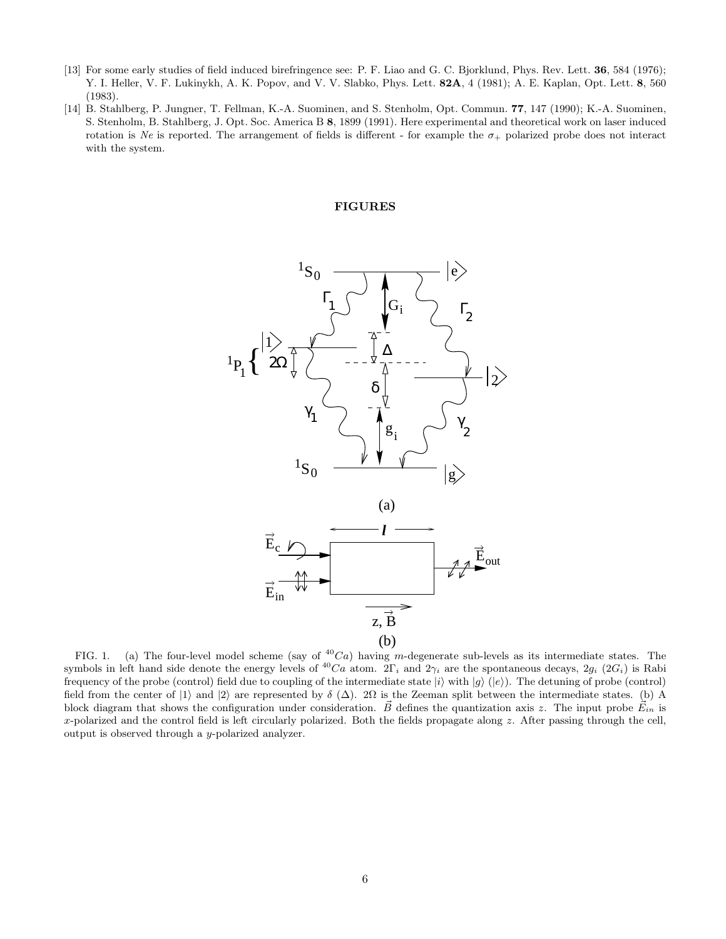- <span id="page-5-0"></span>[13] For some early studies of field induced birefringence see: P. F. Liao and G. C. Bjorklund, Phys. Rev. Lett. 36, 584 (1976); Y. I. Heller, V. F. Lukinykh, A. K. Popov, and V. V. Slabko, Phys. Lett. 82A, 4 (1981); A. E. Kaplan, Opt. Lett. 8, 560 (1983).
- [14] B. Stahlberg, P. Jungner, T. Fellman, K.-A. Suominen, and S. Stenholm, Opt. Commun. 77, 147 (1990); K.-A. Suominen, S. Stenholm, B. Stahlberg, J. Opt. Soc. America B 8, 1899 (1991). Here experimental and theoretical work on laser induced rotation is Ne is reported. The arrangement of fields is different - for example the  $\sigma_{+}$  polarized probe does not interact with the system.

## FIGURES



FIG. 1. (a) The four-level model scheme (say of  ${}^{40}Ca$ ) having m-degenerate sub-levels as its intermediate states. The symbols in left hand side denote the energy levels of <sup>40</sup>Ca atom.  $2\Gamma_i$  and  $2\gamma_i$  are the spontaneous decays,  $2g_i$  (2G<sub>i</sub>) is Rabi frequency of the probe (control) field due to coupling of the intermediate state  $|i\rangle$  with  $|g\rangle$  ( $|e\rangle$ ). The detuning of probe (control) field from the center of  $|1\rangle$  and  $|2\rangle$  are represented by  $\delta(\Delta)$ . 2 $\Omega$  is the Zeeman split between the intermediate states. (b) A block diagram that shows the configuration under consideration.  $\vec{B}$  defines the quantization axis z. The input probe  $\vec{E}_{in}$  is x-polarized and the control field is left circularly polarized. Both the fields propagate along  $z$ . After passing through the cell, output is observed through a y-polarized analyzer.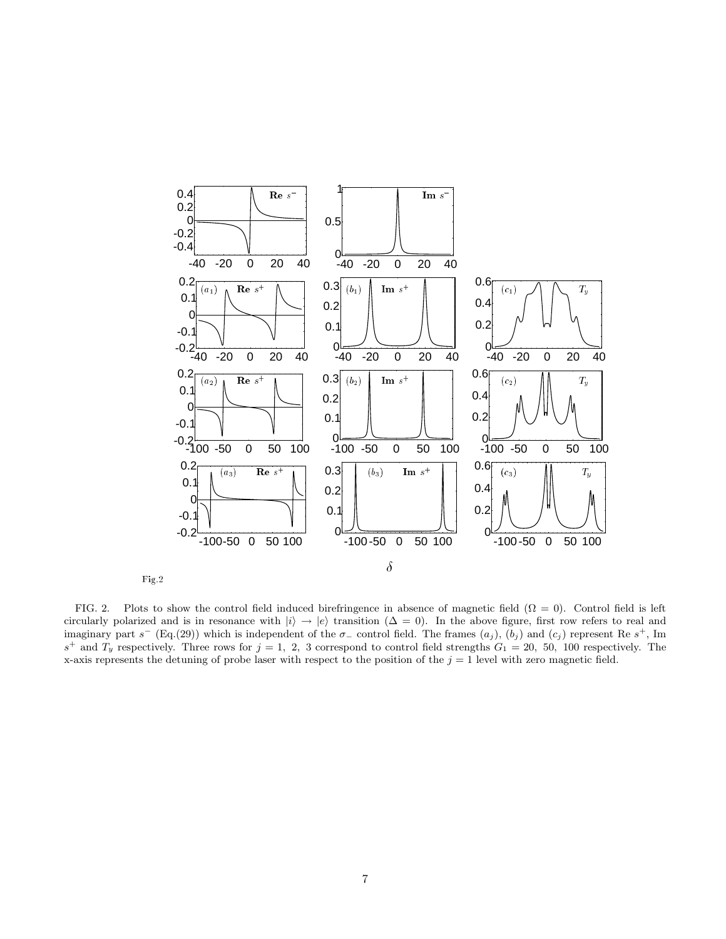

 $-$ 

FIG. 2. Plots to show the control field induced birefringence in absence of magnetic field  $(\Omega = 0)$ . Control field is left circularly polarized and is in resonance with  $|i\rangle \rightarrow |e\rangle$  transition ( $\Delta = 0$ ). In the above figure, first row refers to real and imaginary part s<sup>-</sup> (Eq.(29)) which is independent of the  $\sigma$ - control field. The frames  $(a_j)$ ,  $(b_j)$  and  $(c_j)$  represent Re s<sup>+</sup>, Im  $s^+$  and  $T_y$  respectively. Three rows for  $j = 1, 2, 3$  correspond to control field strengths  $G_1 = 20, 50, 100$  respectively. The x-axis represents the detuning of probe laser with respect to the position of the  $j = 1$  level with zero magnetic field.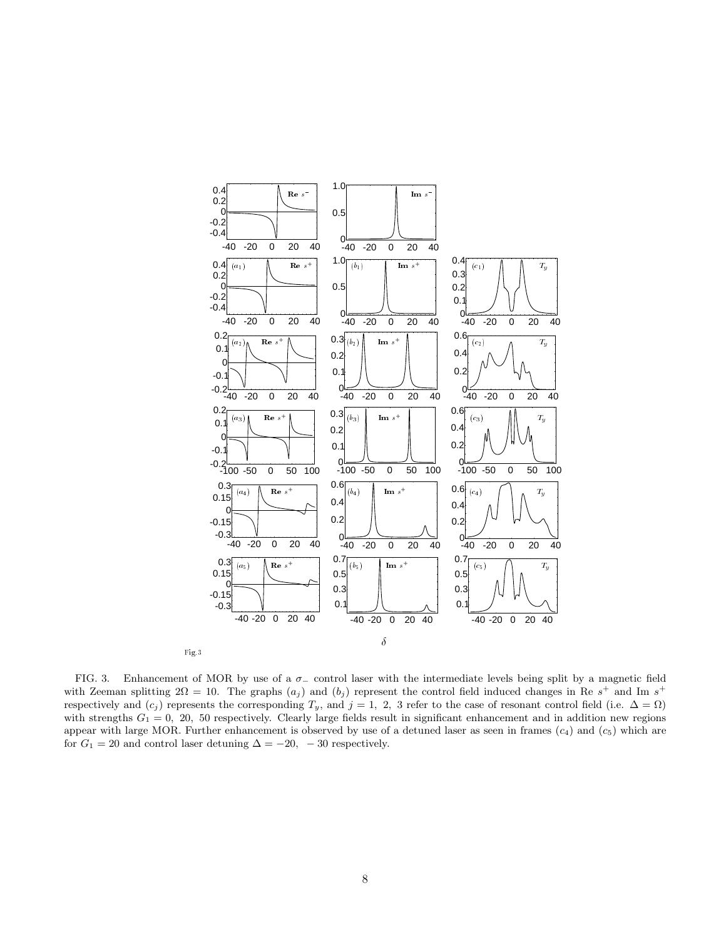

FIG. 3. Enhancement of MOR by use of a  $\sigma_$  control laser with the intermediate levels being split by a magnetic field with Zeeman splitting  $2\Omega = 10$ . The graphs  $(a_j)$  and  $(b_j)$  represent the control field induced changes in Re  $s^+$  and Im  $s^+$ respectively and  $(c_j)$  represents the corresponding  $T_y$ , and  $j = 1, 2, 3$  refer to the case of resonant control field (i.e.  $\Delta = \Omega$ ) with strengths  $G_1 = 0$ , 20, 50 respectively. Clearly large fields result in significant enhancement and in addition new regions appear with large MOR. Further enhancement is observed by use of a detuned laser as seen in frames  $(c_4)$  and  $(c_5)$  which are for  $G_1 = 20$  and control laser detuning  $\Delta = -20$ ,  $-30$  respectively.